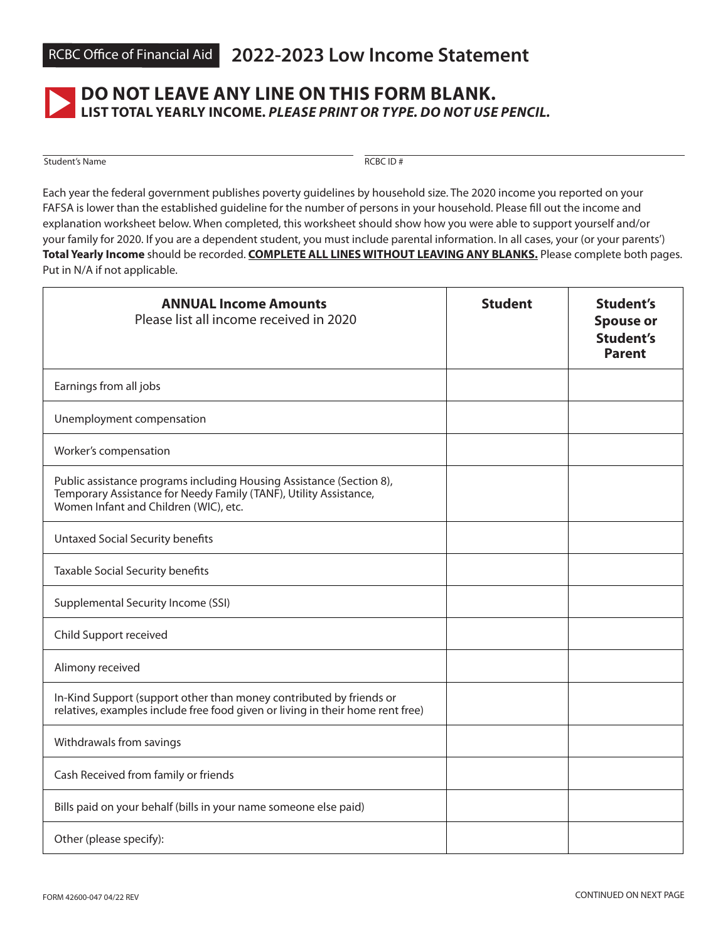

## **DO NOT LEAVE ANY LINE ON THIS FORM BLANK. LIST TOTAL YEARLY INCOME.** *PLEASE PRINT OR TYPE. DO NOT USE PENCIL.*

Student's Name RCBC ID #

Each year the federal government publishes poverty guidelines by household size. The 2020 income you reported on your FAFSA is lower than the established guideline for the number of persons in your household. Please fill out the income and explanation worksheet below. When completed, this worksheet should show how you were able to support yourself and/or your family for 2020. If you are a dependent student, you must include parental information. In all cases, your (or your parents') **Total Yearly Income** should be recorded. **COMPLETE ALL LINES WITHOUT LEAVING ANY BLANKS.** Please complete both pages. Put in N/A if not applicable.

| <b>ANNUAL Income Amounts</b><br>Please list all income received in 2020                                                                                                            | <b>Student</b> | <b>Student's</b><br><b>Spouse or</b><br><b>Student's</b><br><b>Parent</b> |
|------------------------------------------------------------------------------------------------------------------------------------------------------------------------------------|----------------|---------------------------------------------------------------------------|
| Earnings from all jobs                                                                                                                                                             |                |                                                                           |
| Unemployment compensation                                                                                                                                                          |                |                                                                           |
| Worker's compensation                                                                                                                                                              |                |                                                                           |
| Public assistance programs including Housing Assistance (Section 8),<br>Temporary Assistance for Needy Family (TANF), Utility Assistance,<br>Women Infant and Children (WIC), etc. |                |                                                                           |
| <b>Untaxed Social Security benefits</b>                                                                                                                                            |                |                                                                           |
| Taxable Social Security benefits                                                                                                                                                   |                |                                                                           |
| Supplemental Security Income (SSI)                                                                                                                                                 |                |                                                                           |
| Child Support received                                                                                                                                                             |                |                                                                           |
| Alimony received                                                                                                                                                                   |                |                                                                           |
| In-Kind Support (support other than money contributed by friends or<br>relatives, examples include free food given or living in their home rent free)                              |                |                                                                           |
| Withdrawals from savings                                                                                                                                                           |                |                                                                           |
| Cash Received from family or friends                                                                                                                                               |                |                                                                           |
| Bills paid on your behalf (bills in your name someone else paid)                                                                                                                   |                |                                                                           |
| Other (please specify):                                                                                                                                                            |                |                                                                           |